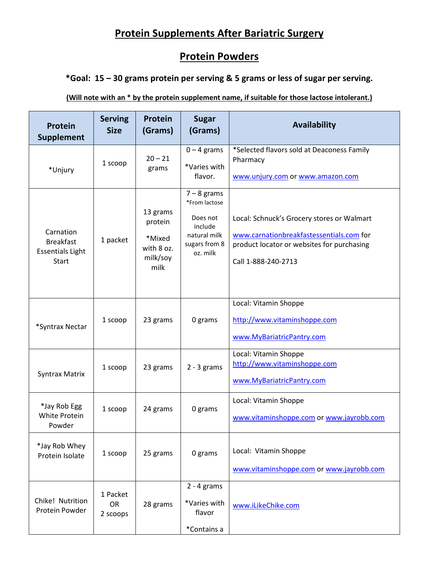# **Protein Supplements After Bariatric Surgery**

## **Protein Powders**

#### **\*Goal: 15 – 30 grams protein per serving & 5 grams or less of sugar per serving.**

#### **(Will note with an \* by the protein supplement name, if suitable for those lactose intolerant.)**

| <b>Protein</b><br><b>Supplement</b>                                      | <b>Serving</b><br><b>Size</b> | <b>Protein</b><br>(Grams)                                       | <b>Sugar</b><br>(Grams)                                                                            | <b>Availability</b>                                                                                                                                         |
|--------------------------------------------------------------------------|-------------------------------|-----------------------------------------------------------------|----------------------------------------------------------------------------------------------------|-------------------------------------------------------------------------------------------------------------------------------------------------------------|
| *Unjury                                                                  | 1 scoop                       | $20 - 21$<br>grams                                              | $0 - 4$ grams<br>*Varies with<br>flavor.                                                           | *Selected flavors sold at Deaconess Family<br>Pharmacy<br>www.unjury.com or www.amazon.com                                                                  |
| Carnation<br><b>Breakfast</b><br><b>Essentials Light</b><br><b>Start</b> | 1 packet                      | 13 grams<br>protein<br>*Mixed<br>with 8 oz.<br>milk/soy<br>milk | $7 - 8$ grams<br>*From lactose<br>Does not<br>include<br>natural milk<br>sugars from 8<br>oz. milk | Local: Schnuck's Grocery stores or Walmart<br>www.carnationbreakfastessentials.com for<br>product locator or websites for purchasing<br>Call 1-888-240-2713 |
| *Syntrax Nectar                                                          | 1 scoop                       | 23 grams                                                        | 0 grams                                                                                            | Local: Vitamin Shoppe<br>http://www.vitaminshoppe.com<br>www.MyBariatricPantry.com                                                                          |
| <b>Syntrax Matrix</b>                                                    | 1 scoop                       | 23 grams                                                        | $2 - 3$ grams                                                                                      | Local: Vitamin Shoppe<br>http://www.vitaminshoppe.com<br>www.MyBariatricPantry.com                                                                          |
| *Jay Rob Egg<br>White Protein<br>Powder                                  | 1 scoop                       | 24 grams                                                        | 0 grams                                                                                            | Local: Vitamin Shoppe<br>www.vitaminshoppe.com or www.jayrobb.com                                                                                           |
| *Jay Rob Whey<br>Protein Isolate                                         | 1 scoop                       | 25 grams                                                        | 0 grams                                                                                            | Local: Vitamin Shoppe<br>www.vitaminshoppe.com or www.jayrobb.com                                                                                           |
| Chike! Nutrition<br>Protein Powder                                       | 1 Packet<br>OR<br>2 scoops    | 28 grams                                                        | $2 - 4$ grams<br>*Varies with<br>flavor<br>*Contains a                                             | www.iLikeChike.com                                                                                                                                          |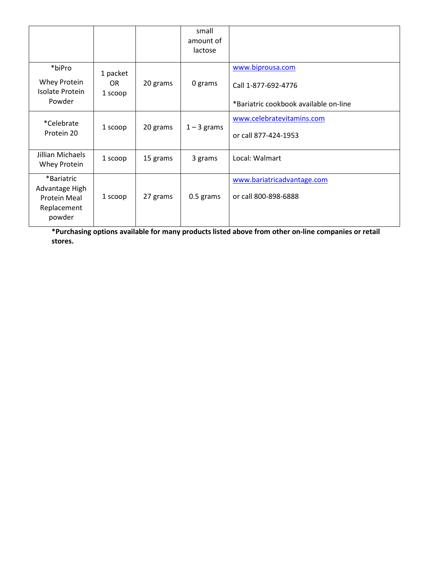|                                                                              |                            |          | small<br>amount of<br>lactose |                                                                                  |
|------------------------------------------------------------------------------|----------------------------|----------|-------------------------------|----------------------------------------------------------------------------------|
| *biPro<br>Whey Protein<br><b>Isolate Protein</b><br>Powder                   | 1 packet<br>OR.<br>1 scoop | 20 grams | 0 grams                       | www.biprousa.com<br>Call 1-877-692-4776<br>*Bariatric cookbook available on-line |
| *Celebrate<br>Protein 20                                                     | 1 scoop                    | 20 grams | $1 - 3$ grams                 | www.celebratevitamins.com<br>or call 877-424-1953                                |
| Jillian Michaels<br>Whey Protein                                             | 1 scoop                    | 15 grams | 3 grams                       | Local: Walmart                                                                   |
| *Bariatric<br>Advantage High<br><b>Protein Meal</b><br>Replacement<br>powder | 1 scoop                    | 27 grams | 0.5 grams                     | www.bariatricadvantage.com<br>or call 800-898-6888                               |

**\*Purchasing options available for many products listed above from other on-line companies or retail stores.**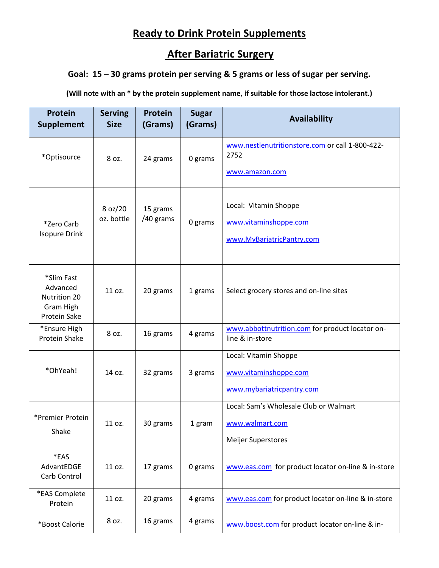## **Ready to Drink Protein Supplements**

## **After Bariatric Surgery**

### **Goal: 15 – 30 grams protein per serving & 5 grams or less of sugar per serving.**

#### **(Will note with an \* by the protein supplement name, if suitable for those lactose intolerant.)**

| <b>Protein</b><br><b>Supplement</b>                                 | <b>Serving</b><br><b>Size</b> | Protein<br>(Grams)    | <b>Sugar</b><br>(Grams) | Availability                                                                           |
|---------------------------------------------------------------------|-------------------------------|-----------------------|-------------------------|----------------------------------------------------------------------------------------|
| *Optisource                                                         | 8 oz.                         | 24 grams              | 0 grams                 | www.nestlenutritionstore.com or call 1-800-422-<br>2752<br>www.amazon.com              |
| *Zero Carb<br><b>Isopure Drink</b>                                  | 8 oz/20<br>oz. bottle         | 15 grams<br>/40 grams | 0 grams                 | Local: Vitamin Shoppe<br>www.vitaminshoppe.com<br>www.MyBariatricPantry.com            |
| *Slim Fast<br>Advanced<br>Nutrition 20<br>Gram High<br>Protein Sake | 11 oz.                        | 20 grams              | 1 grams                 | Select grocery stores and on-line sites                                                |
| *Ensure High<br><b>Protein Shake</b>                                | 8 oz.                         | 16 grams              | 4 grams                 | www.abbottnutrition.com for product locator on-<br>line & in-store                     |
| *OhYeah!                                                            | 14 oz.                        | 32 grams              | 3 grams                 | Local: Vitamin Shoppe<br>www.vitaminshoppe.com<br>www.mybariatricpantry.com            |
| *Premier Protein<br>Shake                                           | 11 oz.                        | 30 grams              | 1 gram                  | Local: Sam's Wholesale Club or Walmart<br>www.walmart.com<br><b>Meijer Superstores</b> |
| *EAS<br>AdvantEDGE<br>Carb Control                                  | 11 oz.                        | 17 grams              | 0 grams                 | www.eas.com for product locator on-line & in-store                                     |
| *EAS Complete<br>Protein                                            | 11 oz.                        | 20 grams              | 4 grams                 | www.eas.com for product locator on-line & in-store                                     |
| *Boost Calorie                                                      | 8 oz.                         | 16 grams              | 4 grams                 | www.boost.com for product locator on-line & in-                                        |